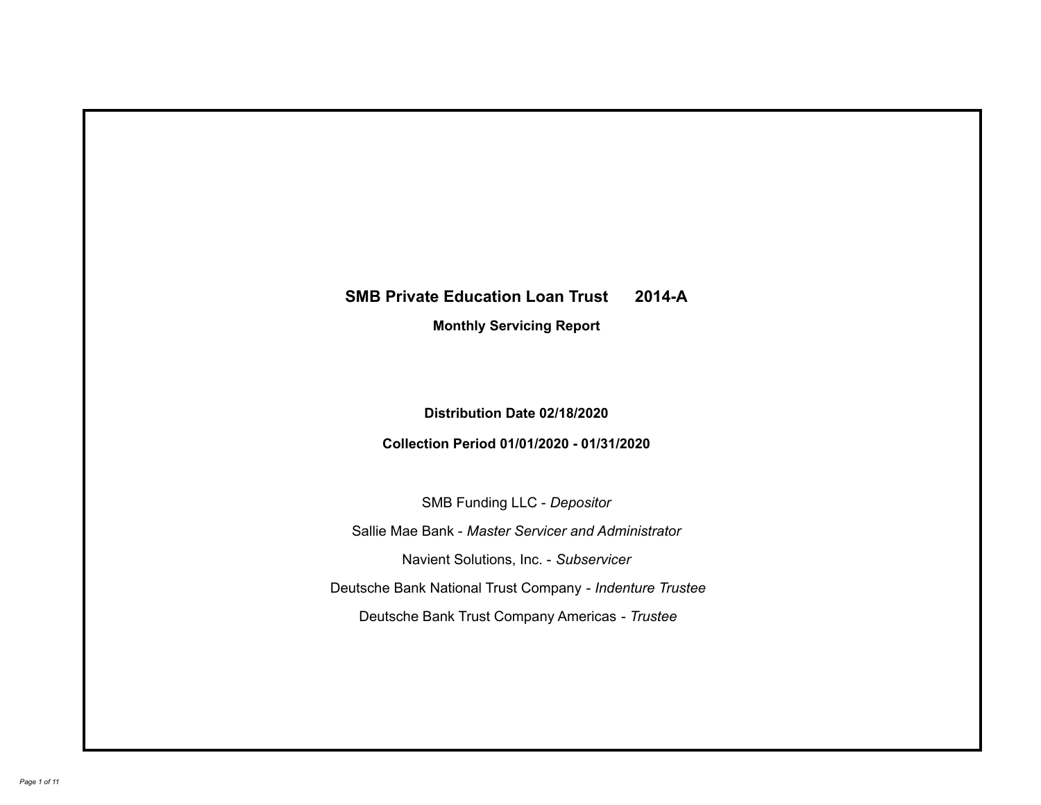# **SMB Private Education Loan Trust 2014-A Monthly Servicing Report**

# **Distribution Date 02/18/2020**

# **Collection Period 01/01/2020 - 01/31/2020**

SMB Funding LLC - *Depositor*

Sallie Mae Bank - *Master Servicer and Administrator*

Navient Solutions, Inc. - *Subservicer*

Deutsche Bank National Trust Company - *Indenture Trustee*

Deutsche Bank Trust Company Americas - *Trustee*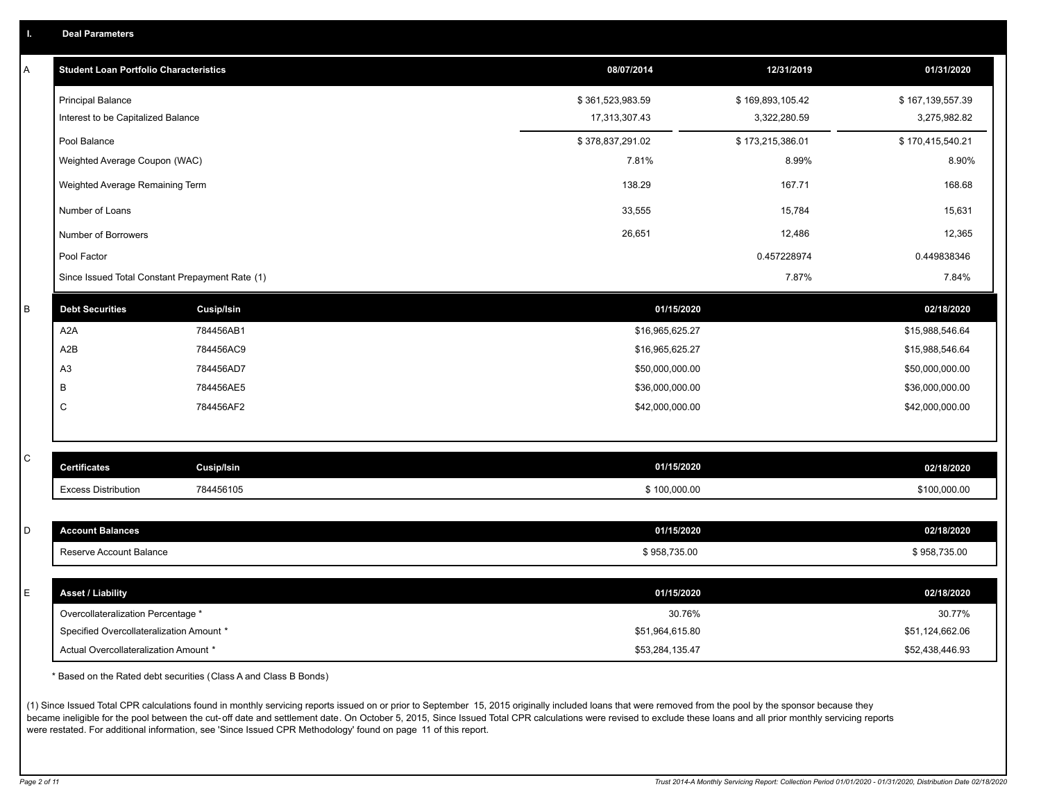| Α            | <b>Student Loan Portfolio Characteristics</b>   |                   | 08/07/2014       | 12/31/2019       | 01/31/2020       |
|--------------|-------------------------------------------------|-------------------|------------------|------------------|------------------|
|              | <b>Principal Balance</b>                        |                   | \$361,523,983.59 | \$169,893,105.42 | \$167,139,557.39 |
|              | Interest to be Capitalized Balance              |                   | 17,313,307.43    | 3,322,280.59     | 3,275,982.82     |
|              | Pool Balance                                    |                   | \$378,837,291.02 | \$173,215,386.01 | \$170,415,540.21 |
|              | Weighted Average Coupon (WAC)                   |                   | 7.81%            | 8.99%            | 8.90%            |
|              | Weighted Average Remaining Term                 |                   | 138.29           | 167.71           | 168.68           |
|              | Number of Loans                                 |                   | 33,555           | 15,784           | 15,631           |
|              | Number of Borrowers                             |                   | 26,651           | 12,486           | 12,365           |
|              | Pool Factor                                     |                   |                  | 0.457228974      | 0.449838346      |
|              | Since Issued Total Constant Prepayment Rate (1) |                   |                  | 7.87%            | 7.84%            |
| $\sf B$      | <b>Debt Securities</b>                          | <b>Cusip/Isin</b> | 01/15/2020       |                  | 02/18/2020       |
|              | A <sub>2</sub> A                                | 784456AB1         | \$16,965,625.27  |                  | \$15,988,546.64  |
|              | A2B                                             | 784456AC9         | \$16,965,625.27  |                  | \$15,988,546.64  |
|              | A <sub>3</sub>                                  | 784456AD7         | \$50,000,000.00  |                  | \$50,000,000.00  |
|              | В                                               | 784456AE5         | \$36,000,000.00  |                  | \$36,000,000.00  |
|              | C                                               | 784456AF2         | \$42,000,000.00  |                  | \$42,000,000.00  |
|              |                                                 |                   |                  |                  |                  |
| $\mathsf{C}$ | <b>Certificates</b>                             | <b>Cusip/Isin</b> | 01/15/2020       |                  | 02/18/2020       |
|              | <b>Excess Distribution</b>                      | 784456105         | \$100,000.00     |                  | \$100,000.00     |
|              |                                                 |                   |                  |                  |                  |
| D            | <b>Account Balances</b>                         |                   | 01/15/2020       |                  | 02/18/2020       |
|              | Reserve Account Balance                         |                   | \$958,735.00     |                  | \$958,735.00     |
|              |                                                 |                   |                  |                  |                  |
| E            | <b>Asset / Liability</b>                        |                   | 01/15/2020       |                  | 02/18/2020       |
|              | Overcollateralization Percentage *              |                   | 30.76%           |                  | 30.77%           |
|              | Specified Overcollateralization Amount *        |                   | \$51,964,615.80  |                  | \$51,124,662.06  |
|              | Actual Overcollateralization Amount *           |                   | \$53,284,135.47  |                  | \$52,438,446.93  |

\* Based on the Rated debt securities (Class A and Class B Bonds)

(1) Since Issued Total CPR calculations found in monthly servicing reports issued on or prior to September 15, 2015 originally included loans that were removed from the pool by the sponsor because they became ineligible for the pool between the cut-off date and settlement date. On October 5, 2015, Since Issued Total CPR calculations were revised to exclude these loans and all prior monthly servicing reports were restated. For additional information, see 'Since Issued CPR Methodology' found on page 11 of this report.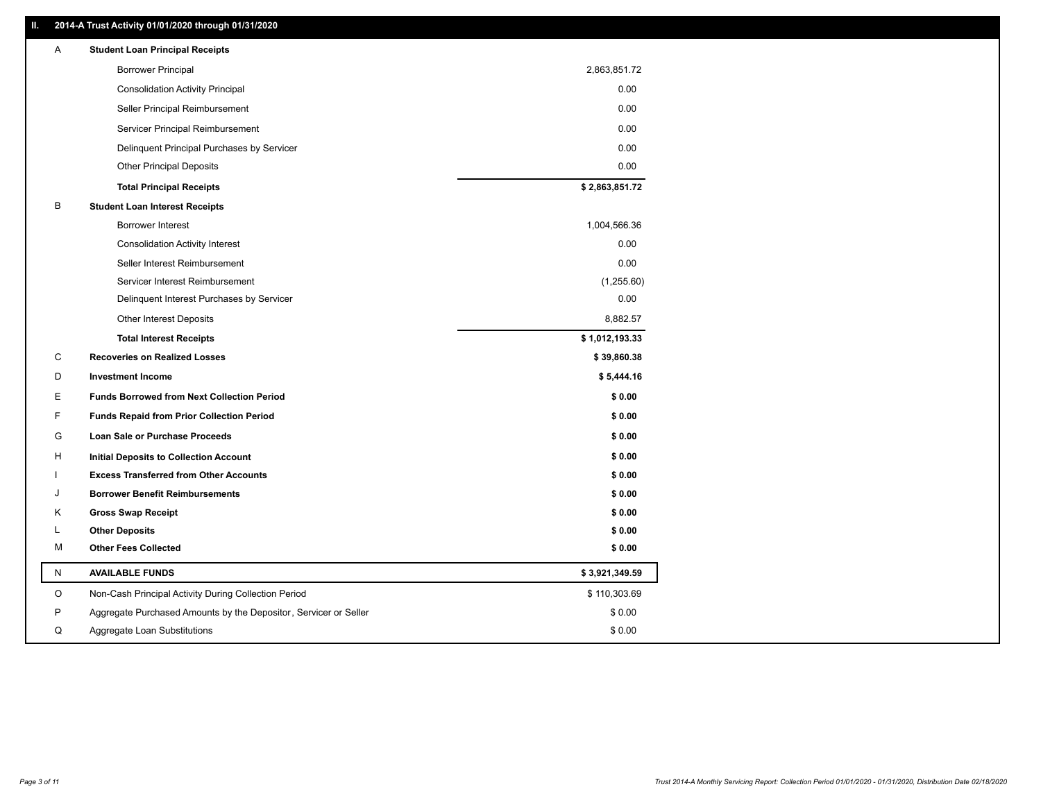### **II. 2014-A Trust Activity 01/01/2020 through 01/31/2020**

| <b>Borrower Principal</b><br>2,863,851.72<br>0.00<br><b>Consolidation Activity Principal</b><br>0.00<br>Seller Principal Reimbursement<br>0.00<br>Servicer Principal Reimbursement<br>0.00<br>Delinquent Principal Purchases by Servicer<br>0.00<br><b>Other Principal Deposits</b><br>\$2,863,851.72<br><b>Total Principal Receipts</b><br>В<br><b>Student Loan Interest Receipts</b><br><b>Borrower Interest</b><br>1,004,566.36<br>0.00<br><b>Consolidation Activity Interest</b><br>0.00<br>Seller Interest Reimbursement<br>Servicer Interest Reimbursement<br>(1,255.60)<br>0.00<br>Delinquent Interest Purchases by Servicer<br>8,882.57<br><b>Other Interest Deposits</b><br>\$1,012,193.33<br><b>Total Interest Receipts</b><br>C<br><b>Recoveries on Realized Losses</b><br>\$39,860.38<br>D<br><b>Investment Income</b><br>\$5,444.16<br>Е<br><b>Funds Borrowed from Next Collection Period</b><br>\$0.00<br>F<br><b>Funds Repaid from Prior Collection Period</b><br>\$0.00<br>G<br>\$0.00<br>Loan Sale or Purchase Proceeds<br>H<br>\$0.00<br>Initial Deposits to Collection Account<br>\$0.00<br><b>Excess Transferred from Other Accounts</b><br><b>Borrower Benefit Reimbursements</b><br>\$0.00<br>J<br>Κ<br><b>Gross Swap Receipt</b><br>\$0.00<br><b>Other Deposits</b><br>\$0.00<br>L<br><b>Other Fees Collected</b><br>м<br>\$0.00<br>N<br><b>AVAILABLE FUNDS</b><br>\$3,921,349.59<br>O<br>\$110,303.69<br>Non-Cash Principal Activity During Collection Period<br>P<br>\$0.00<br>Aggregate Purchased Amounts by the Depositor, Servicer or Seller<br>Q<br>Aggregate Loan Substitutions<br>\$0.00 | Α | <b>Student Loan Principal Receipts</b> |  |
|-------------------------------------------------------------------------------------------------------------------------------------------------------------------------------------------------------------------------------------------------------------------------------------------------------------------------------------------------------------------------------------------------------------------------------------------------------------------------------------------------------------------------------------------------------------------------------------------------------------------------------------------------------------------------------------------------------------------------------------------------------------------------------------------------------------------------------------------------------------------------------------------------------------------------------------------------------------------------------------------------------------------------------------------------------------------------------------------------------------------------------------------------------------------------------------------------------------------------------------------------------------------------------------------------------------------------------------------------------------------------------------------------------------------------------------------------------------------------------------------------------------------------------------------------------------------------------------------------------------------------|---|----------------------------------------|--|
|                                                                                                                                                                                                                                                                                                                                                                                                                                                                                                                                                                                                                                                                                                                                                                                                                                                                                                                                                                                                                                                                                                                                                                                                                                                                                                                                                                                                                                                                                                                                                                                                                         |   |                                        |  |
|                                                                                                                                                                                                                                                                                                                                                                                                                                                                                                                                                                                                                                                                                                                                                                                                                                                                                                                                                                                                                                                                                                                                                                                                                                                                                                                                                                                                                                                                                                                                                                                                                         |   |                                        |  |
|                                                                                                                                                                                                                                                                                                                                                                                                                                                                                                                                                                                                                                                                                                                                                                                                                                                                                                                                                                                                                                                                                                                                                                                                                                                                                                                                                                                                                                                                                                                                                                                                                         |   |                                        |  |
|                                                                                                                                                                                                                                                                                                                                                                                                                                                                                                                                                                                                                                                                                                                                                                                                                                                                                                                                                                                                                                                                                                                                                                                                                                                                                                                                                                                                                                                                                                                                                                                                                         |   |                                        |  |
|                                                                                                                                                                                                                                                                                                                                                                                                                                                                                                                                                                                                                                                                                                                                                                                                                                                                                                                                                                                                                                                                                                                                                                                                                                                                                                                                                                                                                                                                                                                                                                                                                         |   |                                        |  |
|                                                                                                                                                                                                                                                                                                                                                                                                                                                                                                                                                                                                                                                                                                                                                                                                                                                                                                                                                                                                                                                                                                                                                                                                                                                                                                                                                                                                                                                                                                                                                                                                                         |   |                                        |  |
|                                                                                                                                                                                                                                                                                                                                                                                                                                                                                                                                                                                                                                                                                                                                                                                                                                                                                                                                                                                                                                                                                                                                                                                                                                                                                                                                                                                                                                                                                                                                                                                                                         |   |                                        |  |
|                                                                                                                                                                                                                                                                                                                                                                                                                                                                                                                                                                                                                                                                                                                                                                                                                                                                                                                                                                                                                                                                                                                                                                                                                                                                                                                                                                                                                                                                                                                                                                                                                         |   |                                        |  |
|                                                                                                                                                                                                                                                                                                                                                                                                                                                                                                                                                                                                                                                                                                                                                                                                                                                                                                                                                                                                                                                                                                                                                                                                                                                                                                                                                                                                                                                                                                                                                                                                                         |   |                                        |  |
|                                                                                                                                                                                                                                                                                                                                                                                                                                                                                                                                                                                                                                                                                                                                                                                                                                                                                                                                                                                                                                                                                                                                                                                                                                                                                                                                                                                                                                                                                                                                                                                                                         |   |                                        |  |
|                                                                                                                                                                                                                                                                                                                                                                                                                                                                                                                                                                                                                                                                                                                                                                                                                                                                                                                                                                                                                                                                                                                                                                                                                                                                                                                                                                                                                                                                                                                                                                                                                         |   |                                        |  |
|                                                                                                                                                                                                                                                                                                                                                                                                                                                                                                                                                                                                                                                                                                                                                                                                                                                                                                                                                                                                                                                                                                                                                                                                                                                                                                                                                                                                                                                                                                                                                                                                                         |   |                                        |  |
|                                                                                                                                                                                                                                                                                                                                                                                                                                                                                                                                                                                                                                                                                                                                                                                                                                                                                                                                                                                                                                                                                                                                                                                                                                                                                                                                                                                                                                                                                                                                                                                                                         |   |                                        |  |
|                                                                                                                                                                                                                                                                                                                                                                                                                                                                                                                                                                                                                                                                                                                                                                                                                                                                                                                                                                                                                                                                                                                                                                                                                                                                                                                                                                                                                                                                                                                                                                                                                         |   |                                        |  |
|                                                                                                                                                                                                                                                                                                                                                                                                                                                                                                                                                                                                                                                                                                                                                                                                                                                                                                                                                                                                                                                                                                                                                                                                                                                                                                                                                                                                                                                                                                                                                                                                                         |   |                                        |  |
|                                                                                                                                                                                                                                                                                                                                                                                                                                                                                                                                                                                                                                                                                                                                                                                                                                                                                                                                                                                                                                                                                                                                                                                                                                                                                                                                                                                                                                                                                                                                                                                                                         |   |                                        |  |
|                                                                                                                                                                                                                                                                                                                                                                                                                                                                                                                                                                                                                                                                                                                                                                                                                                                                                                                                                                                                                                                                                                                                                                                                                                                                                                                                                                                                                                                                                                                                                                                                                         |   |                                        |  |
|                                                                                                                                                                                                                                                                                                                                                                                                                                                                                                                                                                                                                                                                                                                                                                                                                                                                                                                                                                                                                                                                                                                                                                                                                                                                                                                                                                                                                                                                                                                                                                                                                         |   |                                        |  |
|                                                                                                                                                                                                                                                                                                                                                                                                                                                                                                                                                                                                                                                                                                                                                                                                                                                                                                                                                                                                                                                                                                                                                                                                                                                                                                                                                                                                                                                                                                                                                                                                                         |   |                                        |  |
|                                                                                                                                                                                                                                                                                                                                                                                                                                                                                                                                                                                                                                                                                                                                                                                                                                                                                                                                                                                                                                                                                                                                                                                                                                                                                                                                                                                                                                                                                                                                                                                                                         |   |                                        |  |
|                                                                                                                                                                                                                                                                                                                                                                                                                                                                                                                                                                                                                                                                                                                                                                                                                                                                                                                                                                                                                                                                                                                                                                                                                                                                                                                                                                                                                                                                                                                                                                                                                         |   |                                        |  |
|                                                                                                                                                                                                                                                                                                                                                                                                                                                                                                                                                                                                                                                                                                                                                                                                                                                                                                                                                                                                                                                                                                                                                                                                                                                                                                                                                                                                                                                                                                                                                                                                                         |   |                                        |  |
|                                                                                                                                                                                                                                                                                                                                                                                                                                                                                                                                                                                                                                                                                                                                                                                                                                                                                                                                                                                                                                                                                                                                                                                                                                                                                                                                                                                                                                                                                                                                                                                                                         |   |                                        |  |
|                                                                                                                                                                                                                                                                                                                                                                                                                                                                                                                                                                                                                                                                                                                                                                                                                                                                                                                                                                                                                                                                                                                                                                                                                                                                                                                                                                                                                                                                                                                                                                                                                         |   |                                        |  |
|                                                                                                                                                                                                                                                                                                                                                                                                                                                                                                                                                                                                                                                                                                                                                                                                                                                                                                                                                                                                                                                                                                                                                                                                                                                                                                                                                                                                                                                                                                                                                                                                                         |   |                                        |  |
|                                                                                                                                                                                                                                                                                                                                                                                                                                                                                                                                                                                                                                                                                                                                                                                                                                                                                                                                                                                                                                                                                                                                                                                                                                                                                                                                                                                                                                                                                                                                                                                                                         |   |                                        |  |
|                                                                                                                                                                                                                                                                                                                                                                                                                                                                                                                                                                                                                                                                                                                                                                                                                                                                                                                                                                                                                                                                                                                                                                                                                                                                                                                                                                                                                                                                                                                                                                                                                         |   |                                        |  |
|                                                                                                                                                                                                                                                                                                                                                                                                                                                                                                                                                                                                                                                                                                                                                                                                                                                                                                                                                                                                                                                                                                                                                                                                                                                                                                                                                                                                                                                                                                                                                                                                                         |   |                                        |  |
|                                                                                                                                                                                                                                                                                                                                                                                                                                                                                                                                                                                                                                                                                                                                                                                                                                                                                                                                                                                                                                                                                                                                                                                                                                                                                                                                                                                                                                                                                                                                                                                                                         |   |                                        |  |
|                                                                                                                                                                                                                                                                                                                                                                                                                                                                                                                                                                                                                                                                                                                                                                                                                                                                                                                                                                                                                                                                                                                                                                                                                                                                                                                                                                                                                                                                                                                                                                                                                         |   |                                        |  |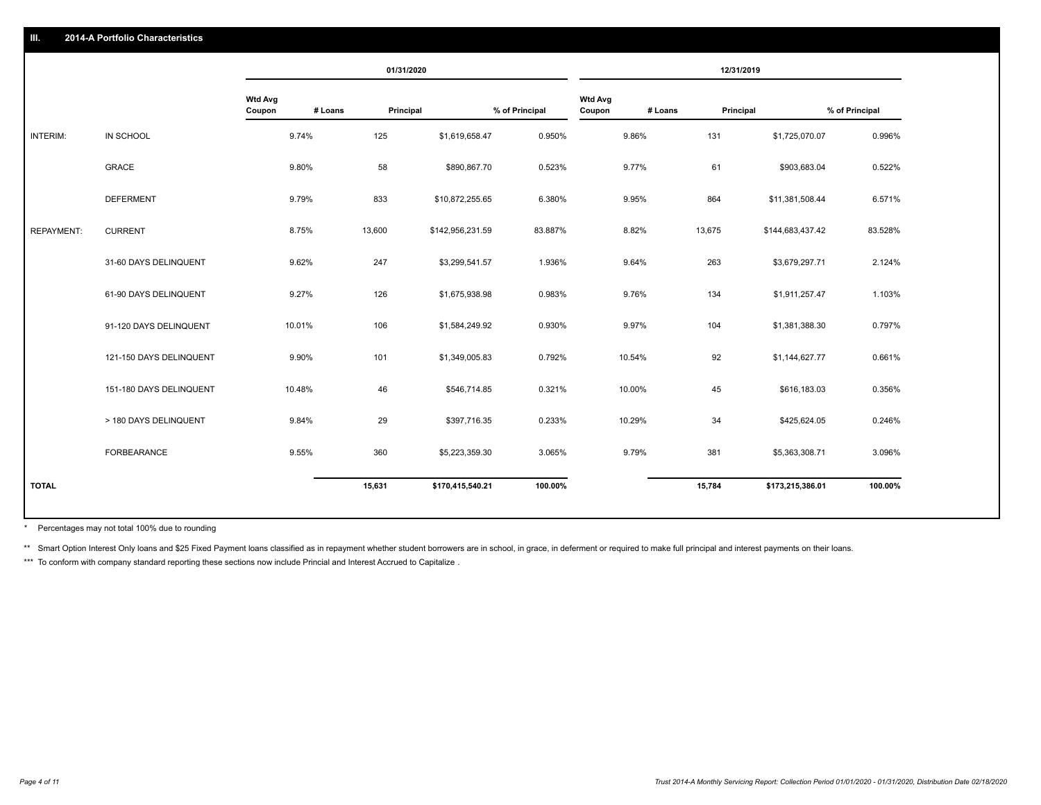|                   |                         |                          | 01/31/2020           |                  |                |                          |         | 12/31/2019       |                |
|-------------------|-------------------------|--------------------------|----------------------|------------------|----------------|--------------------------|---------|------------------|----------------|
|                   |                         | <b>Wtd Avg</b><br>Coupon | # Loans<br>Principal |                  | % of Principal | <b>Wtd Avg</b><br>Coupon | # Loans | Principal        | % of Principal |
| INTERIM:          | IN SCHOOL               | 9.74%                    | 125                  | \$1,619,658.47   | 0.950%         | 9.86%                    | 131     | \$1,725,070.07   | 0.996%         |
|                   | <b>GRACE</b>            | 9.80%                    | 58                   | \$890,867.70     | 0.523%         | 9.77%                    | 61      | \$903,683.04     | 0.522%         |
|                   | <b>DEFERMENT</b>        | 9.79%                    | 833                  | \$10,872,255.65  | 6.380%         | 9.95%                    | 864     | \$11,381,508.44  | 6.571%         |
| <b>REPAYMENT:</b> | <b>CURRENT</b>          | 8.75%                    | 13,600               | \$142,956,231.59 | 83.887%        | 8.82%                    | 13,675  | \$144,683,437.42 | 83.528%        |
|                   | 31-60 DAYS DELINQUENT   | 9.62%                    | 247                  | \$3,299,541.57   | 1.936%         | 9.64%                    | 263     | \$3,679,297.71   | 2.124%         |
|                   | 61-90 DAYS DELINQUENT   | 9.27%                    | 126                  | \$1,675,938.98   | 0.983%         | 9.76%                    | 134     | \$1,911,257.47   | 1.103%         |
|                   | 91-120 DAYS DELINQUENT  | 10.01%                   | 106                  | \$1,584,249.92   | 0.930%         | 9.97%                    | 104     | \$1,381,388.30   | 0.797%         |
|                   | 121-150 DAYS DELINQUENT | 9.90%                    | 101                  | \$1,349,005.83   | 0.792%         | 10.54%                   | 92      | \$1,144,627.77   | 0.661%         |
|                   | 151-180 DAYS DELINQUENT | 10.48%                   | 46                   | \$546,714.85     | 0.321%         | 10.00%                   | 45      | \$616,183.03     | 0.356%         |
|                   | > 180 DAYS DELINQUENT   | 9.84%                    | 29                   | \$397,716.35     | 0.233%         | 10.29%                   | 34      | \$425,624.05     | 0.246%         |
|                   | <b>FORBEARANCE</b>      | 9.55%                    | 360                  | \$5,223,359.30   | 3.065%         | 9.79%                    | 381     | \$5,363,308.71   | 3.096%         |
| <b>TOTAL</b>      |                         |                          | 15,631               | \$170,415,540.21 | 100.00%        |                          | 15,784  | \$173,215,386.01 | 100.00%        |
|                   |                         |                          |                      |                  |                |                          |         |                  |                |

Percentages may not total 100% due to rounding \*

\*\* Smart Option Interest Only loans and \$25 Fixed Payment loans classified as in repayment whether student borrowers are in school, in grace, in deferment or required to make full principal and interest payments on their l

\*\*\* To conform with company standard reporting these sections now include Princial and Interest Accrued to Capitalize.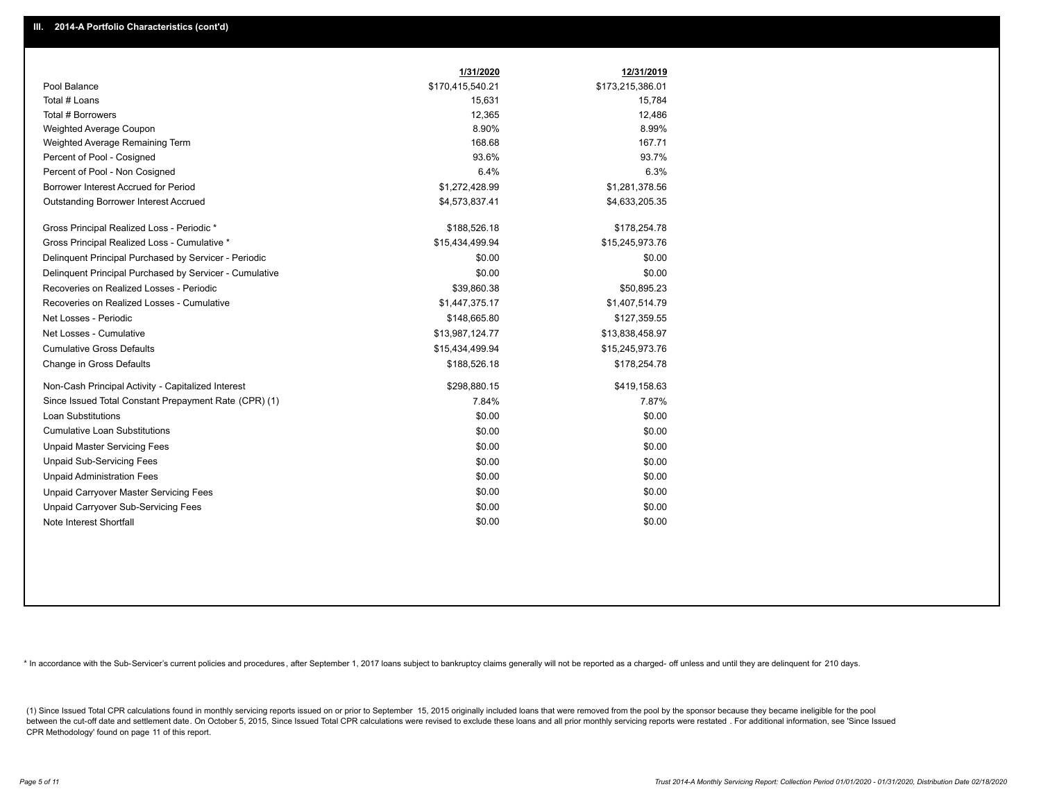|                                                         | 1/31/2020        | 12/31/2019       |
|---------------------------------------------------------|------------------|------------------|
| Pool Balance                                            | \$170,415,540.21 | \$173,215,386.01 |
| Total # Loans                                           | 15,631           | 15,784           |
| Total # Borrowers                                       | 12,365           | 12,486           |
| Weighted Average Coupon                                 | 8.90%            | 8.99%            |
| Weighted Average Remaining Term                         | 168.68           | 167.71           |
| Percent of Pool - Cosigned                              | 93.6%            | 93.7%            |
| Percent of Pool - Non Cosigned                          | 6.4%             | 6.3%             |
| Borrower Interest Accrued for Period                    | \$1,272,428.99   | \$1,281,378.56   |
| Outstanding Borrower Interest Accrued                   | \$4,573,837.41   | \$4,633,205.35   |
| Gross Principal Realized Loss - Periodic *              | \$188,526.18     | \$178,254.78     |
| Gross Principal Realized Loss - Cumulative *            | \$15,434,499.94  | \$15,245,973.76  |
| Delinguent Principal Purchased by Servicer - Periodic   | \$0.00           | \$0.00           |
| Delinquent Principal Purchased by Servicer - Cumulative | \$0.00           | \$0.00           |
| Recoveries on Realized Losses - Periodic                | \$39,860.38      | \$50,895.23      |
| Recoveries on Realized Losses - Cumulative              | \$1,447,375.17   | \$1,407,514.79   |
| Net Losses - Periodic                                   | \$148,665.80     | \$127,359.55     |
| Net Losses - Cumulative                                 | \$13,987,124.77  | \$13,838,458.97  |
| <b>Cumulative Gross Defaults</b>                        | \$15,434,499.94  | \$15,245,973.76  |
| Change in Gross Defaults                                | \$188,526.18     | \$178,254.78     |
| Non-Cash Principal Activity - Capitalized Interest      | \$298,880.15     | \$419,158.63     |
| Since Issued Total Constant Prepayment Rate (CPR) (1)   | 7.84%            | 7.87%            |
| Loan Substitutions                                      | \$0.00           | \$0.00           |
| <b>Cumulative Loan Substitutions</b>                    | \$0.00           | \$0.00           |
| <b>Unpaid Master Servicing Fees</b>                     | \$0.00           | \$0.00           |
| <b>Unpaid Sub-Servicing Fees</b>                        | \$0.00           | \$0.00           |
| <b>Unpaid Administration Fees</b>                       | \$0.00           | \$0.00           |
| Unpaid Carryover Master Servicing Fees                  | \$0.00           | \$0.00           |
| Unpaid Carryover Sub-Servicing Fees                     | \$0.00           | \$0.00           |
| Note Interest Shortfall                                 | \$0.00           | \$0.00           |

\* In accordance with the Sub-Servicer's current policies and procedures, after September 1, 2017 loans subject to bankruptcy claims generally will not be reported as a charged- off unless and until they are delinquent for

(1) Since Issued Total CPR calculations found in monthly servicing reports issued on or prior to September 15, 2015 originally included loans that were removed from the pool by the sponsor because they became ineligible fo between the cut-off date and settlement date. On October 5, 2015, Since Issued Total CPR calculations were revised to exclude these loans and all prior monthly servicing reports were restated. For additional information, s CPR Methodology' found on page 11 of this report.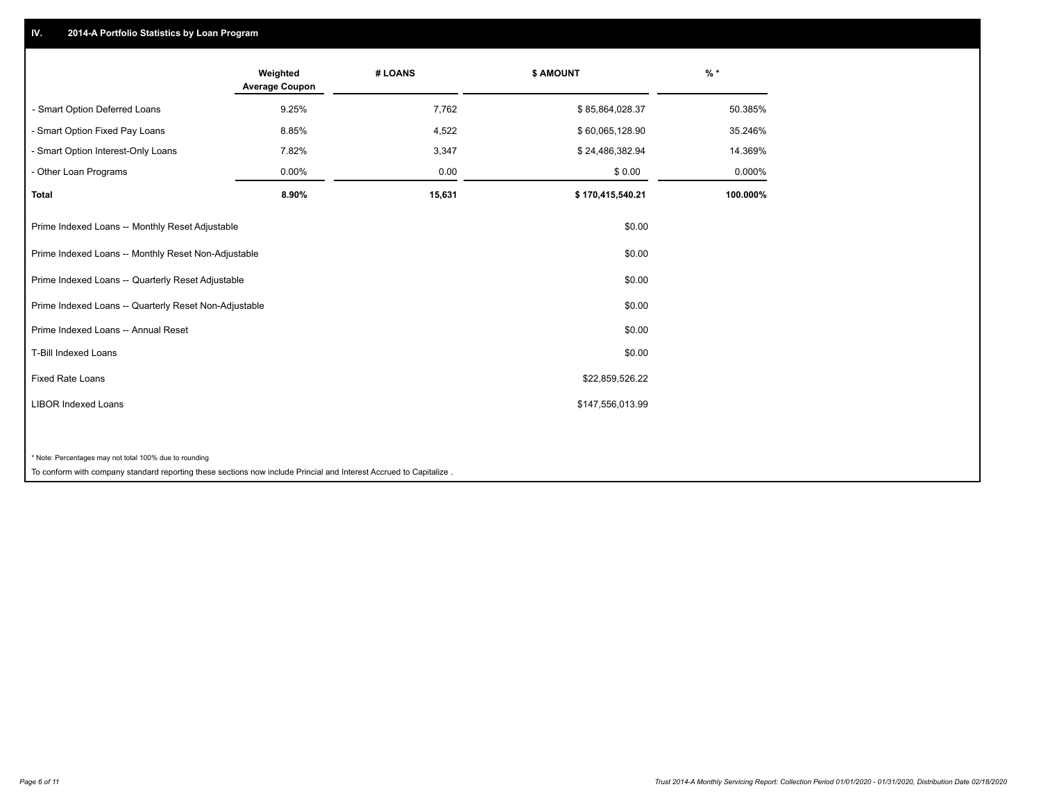## **IV. 2014-A Portfolio Statistics by Loan Program**

|                                                                                                                    | Weighted<br><b>Average Coupon</b> | # LOANS | \$ AMOUNT        | $%$ *    |
|--------------------------------------------------------------------------------------------------------------------|-----------------------------------|---------|------------------|----------|
| - Smart Option Deferred Loans                                                                                      | 9.25%                             | 7,762   | \$85,864,028.37  | 50.385%  |
| - Smart Option Fixed Pay Loans                                                                                     | 8.85%                             | 4,522   | \$60,065,128.90  | 35.246%  |
| - Smart Option Interest-Only Loans                                                                                 | 7.82%                             | 3,347   | \$24,486,382.94  | 14.369%  |
| - Other Loan Programs                                                                                              | 0.00%                             | 0.00    | \$0.00           | 0.000%   |
| Total                                                                                                              | 8.90%                             | 15,631  | \$170,415,540.21 | 100.000% |
| Prime Indexed Loans -- Monthly Reset Adjustable                                                                    |                                   |         | \$0.00           |          |
| Prime Indexed Loans -- Monthly Reset Non-Adjustable                                                                |                                   |         | \$0.00           |          |
| Prime Indexed Loans -- Quarterly Reset Adjustable                                                                  |                                   |         | \$0.00           |          |
| Prime Indexed Loans -- Quarterly Reset Non-Adjustable                                                              |                                   |         | \$0.00           |          |
| Prime Indexed Loans -- Annual Reset                                                                                |                                   |         | \$0.00           |          |
| <b>T-Bill Indexed Loans</b>                                                                                        |                                   |         | \$0.00           |          |
| <b>Fixed Rate Loans</b>                                                                                            |                                   |         | \$22,859,526.22  |          |
| <b>LIBOR Indexed Loans</b>                                                                                         |                                   |         | \$147,556,013.99 |          |
|                                                                                                                    |                                   |         |                  |          |
| * Note: Percentages may not total 100% due to rounding                                                             |                                   |         |                  |          |
| To conform with company standard reporting these sections now include Princial and Interest Accrued to Capitalize. |                                   |         |                  |          |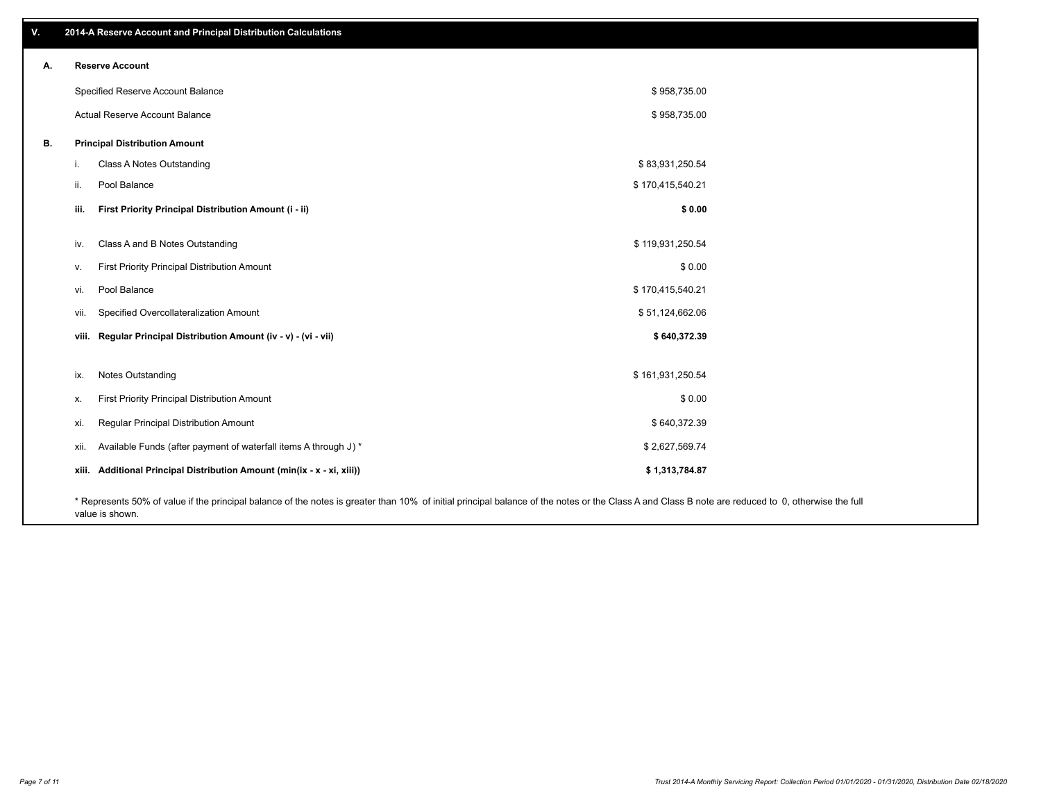| V. | 2014-A Reserve Account and Principal Distribution Calculations           |                                                                                                                                                                                                    |  |
|----|--------------------------------------------------------------------------|----------------------------------------------------------------------------------------------------------------------------------------------------------------------------------------------------|--|
| А. | <b>Reserve Account</b>                                                   |                                                                                                                                                                                                    |  |
|    | Specified Reserve Account Balance                                        | \$958,735.00                                                                                                                                                                                       |  |
|    | Actual Reserve Account Balance                                           | \$958,735.00                                                                                                                                                                                       |  |
| В. | <b>Principal Distribution Amount</b>                                     |                                                                                                                                                                                                    |  |
|    | Class A Notes Outstanding<br>i.                                          | \$83,931,250.54                                                                                                                                                                                    |  |
|    | Pool Balance<br>ii.                                                      | \$170,415,540.21                                                                                                                                                                                   |  |
|    | First Priority Principal Distribution Amount (i - ii)<br>iii.            | \$0.00                                                                                                                                                                                             |  |
|    | Class A and B Notes Outstanding<br>iv.                                   | \$119,931,250.54                                                                                                                                                                                   |  |
|    | First Priority Principal Distribution Amount<br>V.                       | \$0.00                                                                                                                                                                                             |  |
|    | Pool Balance<br>vi.                                                      | \$170,415,540.21                                                                                                                                                                                   |  |
|    | Specified Overcollateralization Amount<br>vii.                           | \$51,124,662.06                                                                                                                                                                                    |  |
|    | viii. Regular Principal Distribution Amount (iv - v) - (vi - vii)        | \$640,372.39                                                                                                                                                                                       |  |
|    |                                                                          |                                                                                                                                                                                                    |  |
|    | Notes Outstanding<br>ix.                                                 | \$161,931,250.54                                                                                                                                                                                   |  |
|    | First Priority Principal Distribution Amount<br>х.                       | \$0.00                                                                                                                                                                                             |  |
|    | Regular Principal Distribution Amount<br>xi.                             | \$640,372.39                                                                                                                                                                                       |  |
|    | Available Funds (after payment of waterfall items A through J) *<br>xii. | \$2,627,569.74                                                                                                                                                                                     |  |
|    | xiii. Additional Principal Distribution Amount (min(ix - x - xi, xiii))  | \$1,313,784.87                                                                                                                                                                                     |  |
|    |                                                                          | * Represents 50% of value if the principal balance of the notes is greater than 10% of initial principal balance of the notes or the Class A and Class B note are reduced to 0, otherwise the full |  |

value is shown.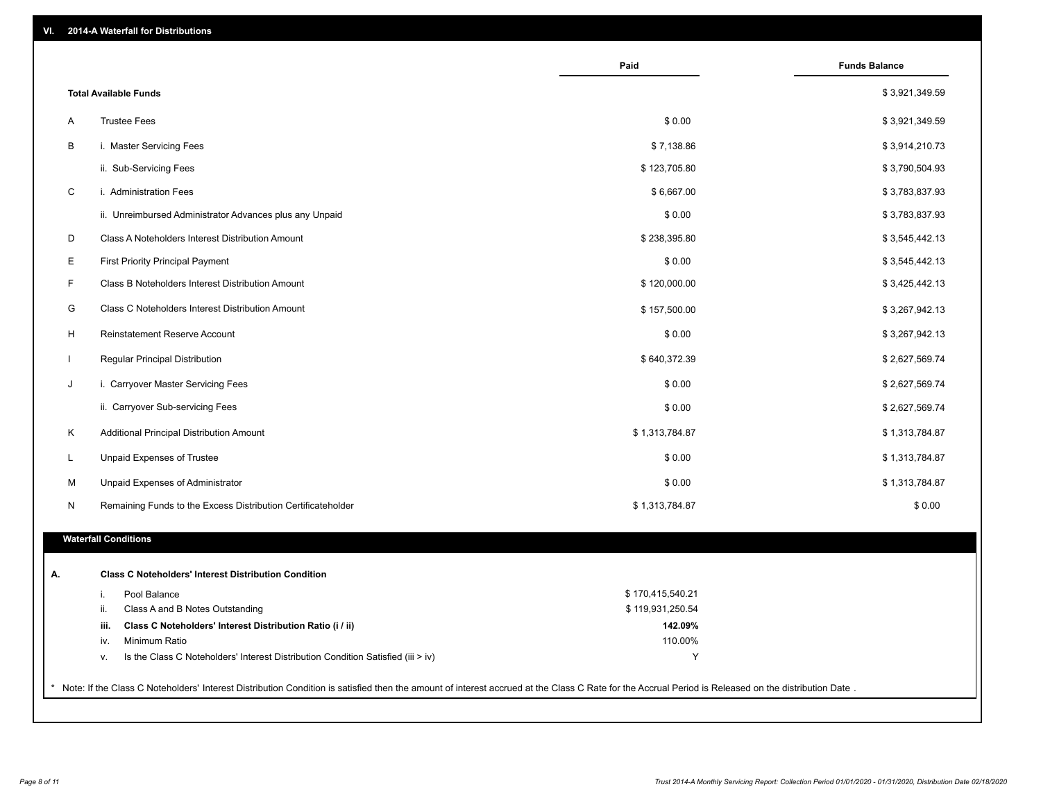|                                                                   |                                                                                  | Paid             | <b>Funds Balance</b> |
|-------------------------------------------------------------------|----------------------------------------------------------------------------------|------------------|----------------------|
| <b>Total Available Funds</b>                                      |                                                                                  |                  | \$3,921,349.59       |
| <b>Trustee Fees</b><br>Α                                          |                                                                                  | \$0.00           | \$3,921,349.59       |
| В<br>i. Master Servicing Fees                                     |                                                                                  | \$7,138.86       | \$3,914,210.73       |
| ii. Sub-Servicing Fees                                            |                                                                                  | \$123,705.80     | \$3,790,504.93       |
| C<br>i. Administration Fees                                       |                                                                                  | \$6,667.00       | \$3,783,837.93       |
| ii. Unreimbursed Administrator Advances plus any Unpaid           |                                                                                  | \$0.00           | \$3,783,837.93       |
| D<br>Class A Noteholders Interest Distribution Amount             |                                                                                  | \$238,395.80     | \$3,545,442.13       |
| Е<br>First Priority Principal Payment                             |                                                                                  | \$0.00           | \$3,545,442.13       |
| F<br>Class B Noteholders Interest Distribution Amount             |                                                                                  | \$120,000.00     | \$3,425,442.13       |
| G<br>Class C Noteholders Interest Distribution Amount             |                                                                                  | \$157,500.00     | \$3,267,942.13       |
| н<br>Reinstatement Reserve Account                                |                                                                                  | \$0.00           | \$3,267,942.13       |
| Regular Principal Distribution<br>$\mathbf{I}$                    |                                                                                  | \$640,372.39     | \$2,627,569.74       |
| J<br>i. Carryover Master Servicing Fees                           |                                                                                  | \$0.00           | \$2,627,569.74       |
| ii. Carryover Sub-servicing Fees                                  |                                                                                  | \$0.00           | \$2,627,569.74       |
| Κ<br>Additional Principal Distribution Amount                     |                                                                                  | \$1,313,784.87   | \$1,313,784.87       |
| Unpaid Expenses of Trustee<br>L                                   |                                                                                  | \$0.00           | \$1,313,784.87       |
| M<br>Unpaid Expenses of Administrator                             |                                                                                  | \$0.00           | \$1,313,784.87       |
| Remaining Funds to the Excess Distribution Certificateholder<br>N |                                                                                  | \$1,313,784.87   | \$0.00               |
|                                                                   |                                                                                  |                  |                      |
| <b>Waterfall Conditions</b>                                       |                                                                                  |                  |                      |
| <b>Class C Noteholders' Interest Distribution Condition</b>       |                                                                                  |                  |                      |
| Pool Balance<br>i.                                                |                                                                                  | \$170,415,540.21 |                      |
| Class A and B Notes Outstanding<br>ii.                            |                                                                                  | \$119,931,250.54 |                      |
| Class C Noteholders' Interest Distribution Ratio (i / ii)<br>iii. |                                                                                  | 142.09%          |                      |
| Minimum Ratio<br>iv.                                              |                                                                                  | 110.00%          |                      |
| ν.                                                                | Is the Class C Noteholders' Interest Distribution Condition Satisfied (iii > iv) | Y                |                      |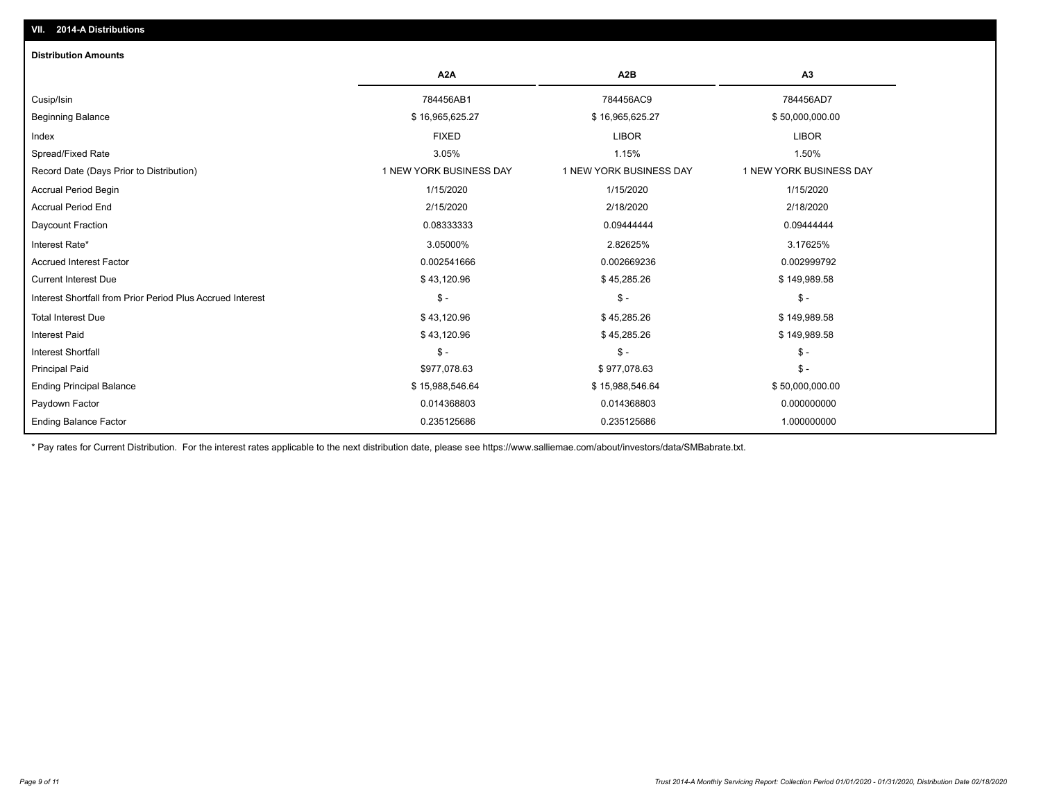| <b>Distribution Amounts</b>                                |                         |                         |                         |
|------------------------------------------------------------|-------------------------|-------------------------|-------------------------|
|                                                            | A <sub>2</sub> A        | A <sub>2</sub> B        | A3                      |
| Cusip/Isin                                                 | 784456AB1               | 784456AC9               | 784456AD7               |
| <b>Beginning Balance</b>                                   | \$16,965,625.27         | \$16,965,625.27         | \$50,000,000.00         |
| Index                                                      | <b>FIXED</b>            | <b>LIBOR</b>            | <b>LIBOR</b>            |
| Spread/Fixed Rate                                          | 3.05%                   | 1.15%                   | 1.50%                   |
| Record Date (Days Prior to Distribution)                   | 1 NEW YORK BUSINESS DAY | 1 NEW YORK BUSINESS DAY | 1 NEW YORK BUSINESS DAY |
| <b>Accrual Period Begin</b>                                | 1/15/2020               | 1/15/2020               | 1/15/2020               |
| <b>Accrual Period End</b>                                  | 2/15/2020               | 2/18/2020               | 2/18/2020               |
| Daycount Fraction                                          | 0.08333333              | 0.09444444              | 0.09444444              |
| Interest Rate*                                             | 3.05000%                | 2.82625%                | 3.17625%                |
| <b>Accrued Interest Factor</b>                             | 0.002541666             | 0.002669236             | 0.002999792             |
| <b>Current Interest Due</b>                                | \$43,120.96             | \$45,285.26             | \$149,989.58            |
| Interest Shortfall from Prior Period Plus Accrued Interest | $\mathsf{\$}$ -         | $\mathsf{\$}$ -         | $$ -$                   |
| <b>Total Interest Due</b>                                  | \$43,120.96             | \$45,285.26             | \$149,989.58            |
| <b>Interest Paid</b>                                       | \$43,120.96             | \$45,285.26             | \$149,989.58            |
| <b>Interest Shortfall</b>                                  | $\mathsf{\$}$ -         | $$ -$                   | $$ -$                   |
| <b>Principal Paid</b>                                      | \$977,078.63            | \$977,078.63            | $$ -$                   |
| <b>Ending Principal Balance</b>                            | \$15,988,546.64         | \$15,988,546.64         | \$50,000,000.00         |
| Paydown Factor                                             | 0.014368803             | 0.014368803             | 0.000000000             |
| <b>Ending Balance Factor</b>                               | 0.235125686             | 0.235125686             | 1.000000000             |

\* Pay rates for Current Distribution. For the interest rates applicable to the next distribution date, please see https://www.salliemae.com/about/investors/data/SMBabrate.txt.

**VII. 2014-A Distributions**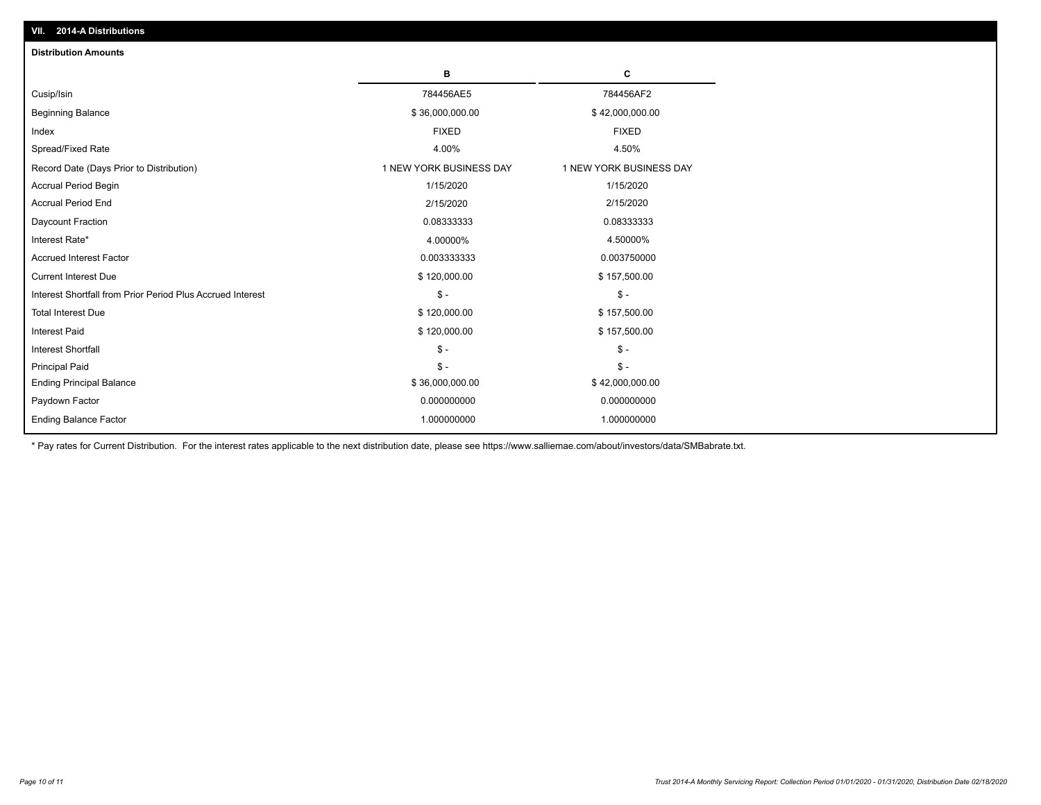| <b>Distribution Amounts</b>                                |                         |                         |
|------------------------------------------------------------|-------------------------|-------------------------|
|                                                            | в                       | C                       |
| Cusip/Isin                                                 | 784456AE5               | 784456AF2               |
| <b>Beginning Balance</b>                                   | \$36,000,000.00         | \$42,000,000.00         |
| Index                                                      | <b>FIXED</b>            | <b>FIXED</b>            |
| Spread/Fixed Rate                                          | 4.00%                   | 4.50%                   |
| Record Date (Days Prior to Distribution)                   | 1 NEW YORK BUSINESS DAY | 1 NEW YORK BUSINESS DAY |
| <b>Accrual Period Begin</b>                                | 1/15/2020               | 1/15/2020               |
| <b>Accrual Period End</b>                                  | 2/15/2020               | 2/15/2020               |
| Daycount Fraction                                          | 0.08333333              | 0.08333333              |
| Interest Rate*                                             | 4.00000%                | 4.50000%                |
| <b>Accrued Interest Factor</b>                             | 0.003333333             | 0.003750000             |
| <b>Current Interest Due</b>                                | \$120,000.00            | \$157,500.00            |
| Interest Shortfall from Prior Period Plus Accrued Interest | $\frac{1}{2}$           | $\mathbb{S}$ -          |
| <b>Total Interest Due</b>                                  | \$120,000.00            | \$157,500.00            |
| <b>Interest Paid</b>                                       | \$120,000.00            | \$157,500.00            |
| <b>Interest Shortfall</b>                                  | $\mathcal{S}$ -         | $\mathsf{\$}$ -         |
| <b>Principal Paid</b>                                      | $\mathsf{\$}$ -         | $\mathsf{\$}$ -         |
| <b>Ending Principal Balance</b>                            | \$36,000,000.00         | \$42,000,000.00         |
| Paydown Factor                                             | 0.000000000             | 0.000000000             |
| <b>Ending Balance Factor</b>                               | 1.000000000             | 1.000000000             |

\* Pay rates for Current Distribution. For the interest rates applicable to the next distribution date, please see https://www.salliemae.com/about/investors/data/SMBabrate.txt.

**VII. 2014-A Distributions**